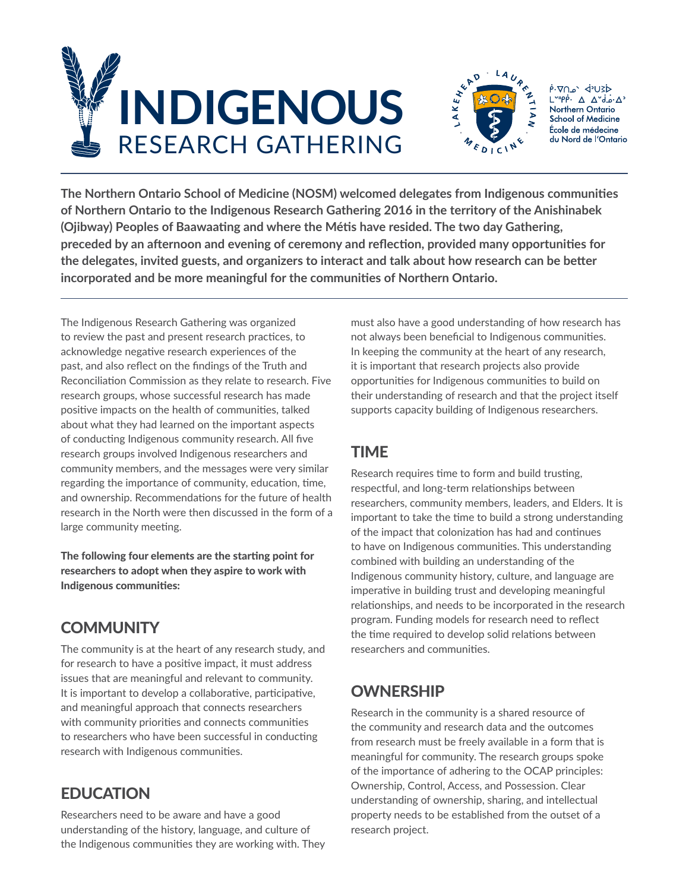



לצ∪י⊳ `ھ∩⊽י¢  $L^{upp}$ .  $\Delta \Delta^d$ .  $\Delta^A$ Northern Ontario **School of Medicine** École de médecine du Nord de l'Ontario

**The Northern Ontario School of Medicine (NOSM) welcomed delegates from Indigenous communities of Northern Ontario to the Indigenous Research Gathering 2016 in the territory of the Anishinabek (Ojibway) Peoples of Baawaating and where the Métis have resided. The two day Gathering, preceded by an afternoon and evening of ceremony and reflection, provided many opportunities for the delegates, invited guests, and organizers to interact and talk about how research can be better incorporated and be more meaningful for the communities of Northern Ontario.** 

The Indigenous Research Gathering was organized to review the past and present research practices, to acknowledge negative research experiences of the past, and also reflect on the findings of the Truth and Reconciliation Commission as they relate to research. Five research groups, whose successful research has made positive impacts on the health of communities, talked about what they had learned on the important aspects of conducting Indigenous community research. All five research groups involved Indigenous researchers and community members, and the messages were very similar regarding the importance of community, education, time, and ownership. Recommendations for the future of health research in the North were then discussed in the form of a large community meeting.

The following four elements are the starting point for researchers to adopt when they aspire to work with Indigenous communities:

# **COMMUNITY**

The community is at the heart of any research study, and for research to have a positive impact, it must address issues that are meaningful and relevant to community. It is important to develop a collaborative, participative, and meaningful approach that connects researchers with community priorities and connects communities to researchers who have been successful in conducting research with Indigenous communities.

# EDUCATION

Researchers need to be aware and have a good understanding of the history, language, and culture of the Indigenous communities they are working with. They

must also have a good understanding of how research has not always been beneficial to Indigenous communities. In keeping the community at the heart of any research, it is important that research projects also provide opportunities for Indigenous communities to build on their understanding of research and that the project itself supports capacity building of Indigenous researchers.

# TIME

Research requires time to form and build trusting, respectful, and long-term relationships between researchers, community members, leaders, and Elders. It is important to take the time to build a strong understanding of the impact that colonization has had and continues to have on Indigenous communities. This understanding combined with building an understanding of the Indigenous community history, culture, and language are imperative in building trust and developing meaningful relationships, and needs to be incorporated in the research program. Funding models for research need to reflect the time required to develop solid relations between researchers and communities.

# **OWNERSHIP**

Research in the community is a shared resource of the community and research data and the outcomes from research must be freely available in a form that is meaningful for community. The research groups spoke of the importance of adhering to the OCAP principles: Ownership, Control, Access, and Possession. Clear understanding of ownership, sharing, and intellectual property needs to be established from the outset of a research project.